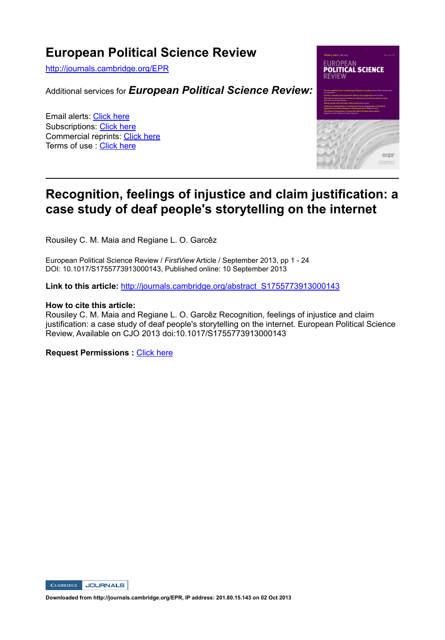# **European Political Science Review**

http://journals.cambridge.org/EPR

Additional services for *European Political Science Review:*

Email alerts: Click here Subscriptions: Click here Commercial reprints: Click here Terms of use : Click here



# **Recognition, feelings of injustice and claim justification: a case study of deaf people's storytelling on the internet**

Rousiley C. M. Maia and Regiane L. O. Garcêz

European Political Science Review / *FirstView* Article / September 2013, pp 1 - 24 DOI: 10.1017/S1755773913000143, Published online: 10 September 2013

**Link to this article:** http://journals.cambridge.org/abstract\_S1755773913000143

#### **How to cite this article:**

Rousiley C. M. Maia and Regiane L. O. Garcêz Recognition, feelings of injustice and claim justification: a case study of deaf people's storytelling on the internet. European Political Science Review, Available on CJO 2013 doi:10.1017/S1755773913000143

**Request Permissions :** Click here

**CAMBRIDGE JOURNALS**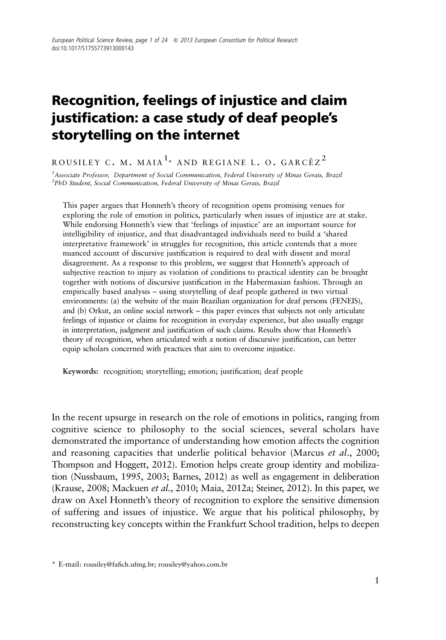# Recognition, feelings of injustice and claim justification: a case study of deaf people's storytelling on the internet

ROUSILEY C. M. MAIA $^{\mathrm{1}_{*}}$  and regiane L. O. Garcê $\mathrm{z}^{2}$ 

<sup>1</sup> Associate Professor, Department of Social Communication, Federal University of Minas Gerais, Brazil <sup>2</sup>PhD Student, Social Communication, Federal University of Minas Gerais, Brazil

This paper argues that Honneth's theory of recognition opens promising venues for exploring the role of emotion in politics, particularly when issues of injustice are at stake. While endorsing Honneth's view that 'feelings of injustice' are an important source for intelligibility of injustice, and that disadvantaged individuals need to build a 'shared interpretative framework' in struggles for recognition, this article contends that a more nuanced account of discursive justification is required to deal with dissent and moral disagreement. As a response to this problem, we suggest that Honneth's approach of subjective reaction to injury as violation of conditions to practical identity can be brought together with notions of discursive justification in the Habermasian fashion. Through an empirically based analysis – using storytelling of deaf people gathered in two virtual environments: (a) the website of the main Brazilian organization for deaf persons (FENEIS), and (b) Orkut, an online social network – this paper evinces that subjects not only articulate feelings of injustice or claims for recognition in everyday experience, but also usually engage in interpretation, judgment and justification of such claims. Results show that Honneth's theory of recognition, when articulated with a notion of discursive justification, can better equip scholars concerned with practices that aim to overcome injustice.

Keywords: recognition; storytelling; emotion; justification; deaf people

In the recent upsurge in research on the role of emotions in politics, ranging from cognitive science to philosophy to the social sciences, several scholars have demonstrated the importance of understanding how emotion affects the cognition and reasoning capacities that underlie political behavior (Marcus et al., [2000](#page-23-0); Thompson and Hoggett, [2012\)](#page-24-0). Emotion helps create group identity and mobilization (Nussbaum, [1995](#page-23-0), [2003](#page-23-0); Barnes, [2012](#page-22-0)) as well as engagement in deliberation (Krause, [2008;](#page-23-0) Mackuen et al., [2010;](#page-23-0) Maia, [2012a;](#page-23-0) Steiner, [2012](#page-23-0)). In this paper, we draw on Axel Honneth's theory of recognition to explore the sensitive dimension of suffering and issues of injustice. We argue that his political philosophy, by reconstructing key concepts within the Frankfurt School tradition, helps to deepen

<sup>\*</sup> E-mail: rousiley@fafich.ufmg.br; rousiley@yahoo.com.br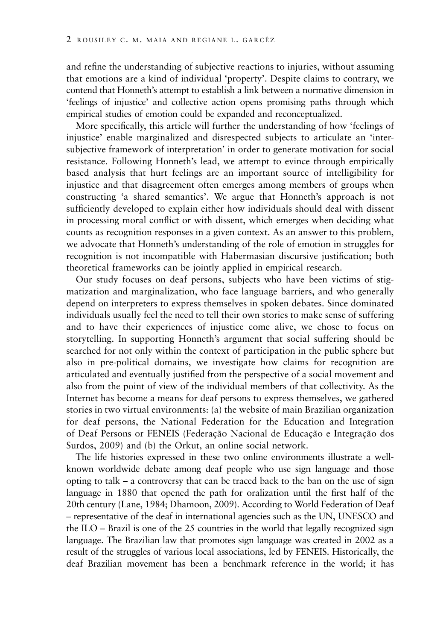and refine the understanding of subjective reactions to injuries, without assuming that emotions are a kind of individual 'property'. Despite claims to contrary, we contend that Honneth's attempt to establish a link between a normative dimension in 'feelings of injustice' and collective action opens promising paths through which empirical studies of emotion could be expanded and reconceptualized.

More specifically, this article will further the understanding of how 'feelings of injustice' enable marginalized and disrespected subjects to articulate an 'intersubjective framework of interpretation' in order to generate motivation for social resistance. Following Honneth's lead, we attempt to evince through empirically based analysis that hurt feelings are an important source of intelligibility for injustice and that disagreement often emerges among members of groups when constructing 'a shared semantics'. We argue that Honneth's approach is not sufficiently developed to explain either how individuals should deal with dissent in processing moral conflict or with dissent, which emerges when deciding what counts as recognition responses in a given context. As an answer to this problem, we advocate that Honneth's understanding of the role of emotion in struggles for recognition is not incompatible with Habermasian discursive justification; both theoretical frameworks can be jointly applied in empirical research.

Our study focuses on deaf persons, subjects who have been victims of stigmatization and marginalization, who face language barriers, and who generally depend on interpreters to express themselves in spoken debates. Since dominated individuals usually feel the need to tell their own stories to make sense of suffering and to have their experiences of injustice come alive, we chose to focus on storytelling. In supporting Honneth's argument that social suffering should be searched for not only within the context of participation in the public sphere but also in pre-political domains, we investigate how claims for recognition are articulated and eventually justified from the perspective of a social movement and also from the point of view of the individual members of that collectivity. As the Internet has become a means for deaf persons to express themselves, we gathered stories in two virtual environments: (a) the website of main Brazilian organization for deaf persons, the National Federation for the Education and Integration of Deaf Persons or FENEIS (Federação Nacional de Educação e Integração dos Surdos, 2009) and (b) the Orkut, an online social network.

The life histories expressed in these two online environments illustrate a wellknown worldwide debate among deaf people who use sign language and those opting to talk – a controversy that can be traced back to the ban on the use of sign language in 1880 that opened the path for oralization until the first half of the 20th century (Lane, [1984](#page-23-0); Dhamoon, [2009\)](#page-22-0). According to World Federation of Deaf – representative of the deaf in international agencies such as the UN, UNESCO and the ILO – Brazil is one of the 25 countries in the world that legally recognized sign language. The Brazilian law that promotes sign language was created in 2002 as a result of the struggles of various local associations, led by FENEIS. Historically, the deaf Brazilian movement has been a benchmark reference in the world; it has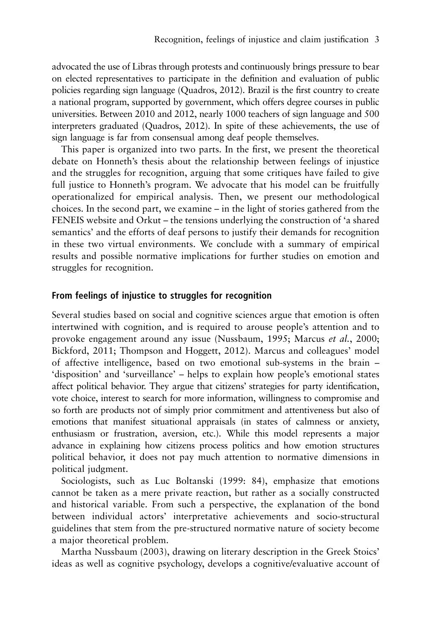advocated the use of Libras through protests and continuously brings pressure to bear on elected representatives to participate in the definition and evaluation of public policies regarding sign language (Quadros, [2012](#page-23-0)). Brazil is the first country to create a national program, supported by government, which offers degree courses in public universities. Between 2010 and 2012, nearly 1000 teachers of sign language and 500 interpreters graduated (Quadros, [2012](#page-23-0)). In spite of these achievements, the use of sign language is far from consensual among deaf people themselves.

This paper is organized into two parts. In the first, we present the theoretical debate on Honneth's thesis about the relationship between feelings of injustice and the struggles for recognition, arguing that some critiques have failed to give full justice to Honneth's program. We advocate that his model can be fruitfully operationalized for empirical analysis. Then, we present our methodological choices. In the second part, we examine – in the light of stories gathered from the FENEIS website and Orkut – the tensions underlying the construction of 'a shared semantics' and the efforts of deaf persons to justify their demands for recognition in these two virtual environments. We conclude with a summary of empirical results and possible normative implications for further studies on emotion and struggles for recognition.

## From feelings of injustice to struggles for recognition

Several studies based on social and cognitive sciences argue that emotion is often intertwined with cognition, and is required to arouse people's attention and to provoke engagement around any issue (Nussbaum, [1995;](#page-23-0) Marcus et al., [2000](#page-23-0); Bickford, [2011](#page-22-0); Thompson and Hoggett, [2012\)](#page-24-0). Marcus and colleagues' model of affective intelligence, based on two emotional sub-systems in the brain – 'disposition' and 'surveillance' – helps to explain how people's emotional states affect political behavior. They argue that citizens' strategies for party identification, vote choice, interest to search for more information, willingness to compromise and so forth are products not of simply prior commitment and attentiveness but also of emotions that manifest situational appraisals (in states of calmness or anxiety, enthusiasm or frustration, aversion, etc.). While this model represents a major advance in explaining how citizens process politics and how emotion structures political behavior, it does not pay much attention to normative dimensions in political judgment.

Sociologists, such as Luc Boltanski [\(1999:](#page-22-0) 84), emphasize that emotions cannot be taken as a mere private reaction, but rather as a socially constructed and historical variable. From such a perspective, the explanation of the bond between individual actors' interpretative achievements and socio-structural guidelines that stem from the pre-structured normative nature of society become a major theoretical problem.

Martha Nussbaum ([2003](#page-23-0)), drawing on literary description in the Greek Stoics' ideas as well as cognitive psychology, develops a cognitive/evaluative account of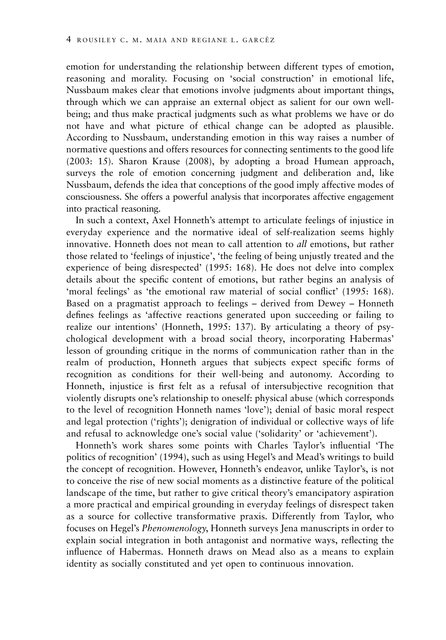emotion for understanding the relationship between different types of emotion, reasoning and morality. Focusing on 'social construction' in emotional life, Nussbaum makes clear that emotions involve judgments about important things, through which we can appraise an external object as salient for our own wellbeing; and thus make practical judgments such as what problems we have or do not have and what picture of ethical change can be adopted as plausible. According to Nussbaum, understanding emotion in this way raises a number of normative questions and offers resources for connecting sentiments to the good life (2003: 15). Sharon Krause [\(2008](#page-23-0)), by adopting a broad Humean approach, surveys the role of emotion concerning judgment and deliberation and, like Nussbaum, defends the idea that conceptions of the good imply affective modes of consciousness. She offers a powerful analysis that incorporates affective engagement into practical reasoning.

In such a context, Axel Honneth's attempt to articulate feelings of injustice in everyday experience and the normative ideal of self-realization seems highly innovative. Honneth does not mean to call attention to all emotions, but rather those related to 'feelings of injustice', 'the feeling of being unjustly treated and the experience of being disrespected' (1995: 168). He does not delve into complex details about the specific content of emotions, but rather begins an analysis of 'moral feelings' as 'the emotional raw material of social conflict' (1995: 168). Based on a pragmatist approach to feelings – derived from Dewey – Honneth defines feelings as 'affective reactions generated upon succeeding or failing to realize our intentions' (Honneth, [1995:](#page-22-0) 137). By articulating a theory of psychological development with a broad social theory, incorporating Habermas' lesson of grounding critique in the norms of communication rather than in the realm of production, Honneth argues that subjects expect specific forms of recognition as conditions for their well-being and autonomy. According to Honneth, injustice is first felt as a refusal of intersubjective recognition that violently disrupts one's relationship to oneself: physical abuse (which corresponds to the level of recognition Honneth names 'love'); denial of basic moral respect and legal protection ('rights'); denigration of individual or collective ways of life and refusal to acknowledge one's social value ('solidarity' or 'achievement').

Honneth's work shares some points with Charles Taylor's influential 'The politics of recognition' ([1994\)](#page-23-0), such as using Hegel's and Mead's writings to build the concept of recognition. However, Honneth's endeavor, unlike Taylor's, is not to conceive the rise of new social moments as a distinctive feature of the political landscape of the time, but rather to give critical theory's emancipatory aspiration a more practical and empirical grounding in everyday feelings of disrespect taken as a source for collective transformative praxis. Differently from Taylor, who focuses on Hegel's Phenomenology, Honneth surveys Jena manuscripts in order to explain social integration in both antagonist and normative ways, reflecting the influence of Habermas. Honneth draws on Mead also as a means to explain identity as socially constituted and yet open to continuous innovation.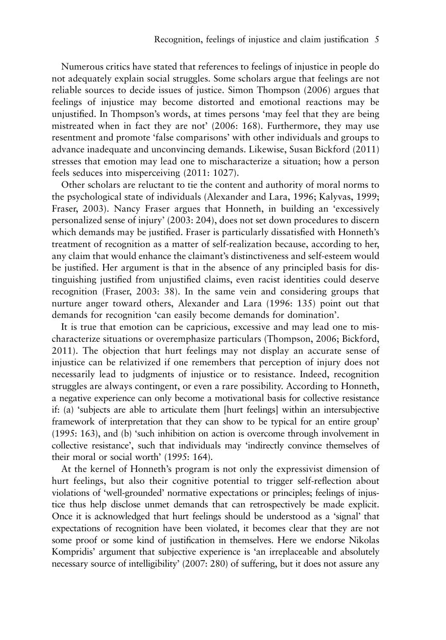Numerous critics have stated that references to feelings of injustice in people do not adequately explain social struggles. Some scholars argue that feelings are not reliable sources to decide issues of justice. Simon Thompson ([2006](#page-23-0)) argues that feelings of injustice may become distorted and emotional reactions may be unjustified. In Thompson's words, at times persons 'may feel that they are being mistreated when in fact they are not' (2006: 168). Furthermore, they may use resentment and promote 'false comparisons' with other individuals and groups to advance inadequate and unconvincing demands. Likewise, Susan Bickford ([2011\)](#page-22-0) stresses that emotion may lead one to mischaracterize a situation; how a person feels seduces into misperceiving (2011: 1027).

Other scholars are reluctant to tie the content and authority of moral norms to the psychological state of individuals (Alexander and Lara, [1996](#page-22-0); Kalyvas, [1999](#page-23-0); Fraser, [2003](#page-22-0)). Nancy Fraser argues that Honneth, in building an 'excessively personalized sense of injury' (2003: 204), does not set down procedures to discern which demands may be justified. Fraser is particularly dissatisfied with Honneth's treatment of recognition as a matter of self-realization because, according to her, any claim that would enhance the claimant's distinctiveness and self-esteem would be justified. Her argument is that in the absence of any principled basis for distinguishing justified from unjustified claims, even racist identities could deserve recognition (Fraser, [2003:](#page-22-0) 38). In the same vein and considering groups that nurture anger toward others, Alexander and Lara ([1996](#page-22-0): 135) point out that demands for recognition 'can easily become demands for domination'.

It is true that emotion can be capricious, excessive and may lead one to mischaracterize situations or overemphasize particulars (Thompson, [2006](#page-23-0); Bickford, [2011](#page-22-0)). The objection that hurt feelings may not display an accurate sense of injustice can be relativized if one remembers that perception of injury does not necessarily lead to judgments of injustice or to resistance. Indeed, recognition struggles are always contingent, or even a rare possibility. According to Honneth, a negative experience can only become a motivational basis for collective resistance if: (a) 'subjects are able to articulate them [hurt feelings] within an intersubjective framework of interpretation that they can show to be typical for an entire group' (1995: 163), and (b) 'such inhibition on action is overcome through involvement in collective resistance', such that individuals may 'indirectly convince themselves of their moral or social worth' (1995: 164).

At the kernel of Honneth's program is not only the expressivist dimension of hurt feelings, but also their cognitive potential to trigger self-reflection about violations of 'well-grounded' normative expectations or principles; feelings of injustice thus help disclose unmet demands that can retrospectively be made explicit. Once it is acknowledged that hurt feelings should be understood as a 'signal' that expectations of recognition have been violated, it becomes clear that they are not some proof or some kind of justification in themselves. Here we endorse Nikolas Kompridis' argument that subjective experience is 'an irreplaceable and absolutely necessary source of intelligibility' [\(2007](#page-23-0): 280) of suffering, but it does not assure any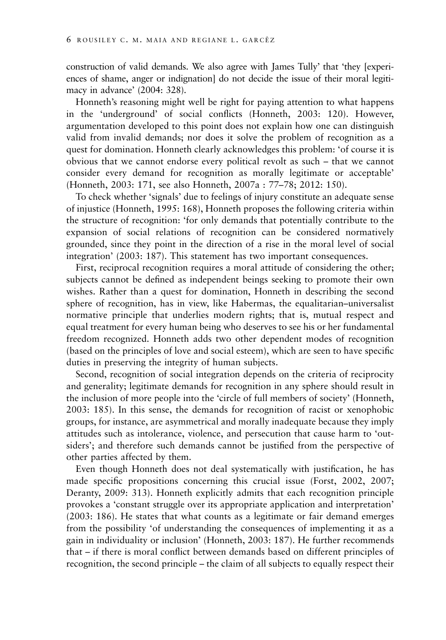construction of valid demands. We also agree with James Tully' that 'they [experiences of shame, anger or indignation] do not decide the issue of their moral legitimacy in advance' ([2004](#page-24-0): 328).

Honneth's reasoning might well be right for paying attention to what happens in the 'underground' of social conflicts (Honneth, [2003:](#page-22-0) 120). However, argumentation developed to this point does not explain how one can distinguish valid from invalid demands; nor does it solve the problem of recognition as a quest for domination. Honneth clearly acknowledges this problem: 'of course it is obvious that we cannot endorse every political revolt as such – that we cannot consider every demand for recognition as morally legitimate or acceptable' (Honneth, [2003:](#page-22-0) 171, see also Honneth, [2007a](#page-22-0) : 77–78; [2012](#page-23-0): 150).

To check whether 'signals' due to feelings of injury constitute an adequate sense of injustice (Honneth, [1995:](#page-22-0) 168), Honneth proposes the following criteria within the structure of recognition: 'for only demands that potentially contribute to the expansion of social relations of recognition can be considered normatively grounded, since they point in the direction of a rise in the moral level of social integration' (2003: 187). This statement has two important consequences.

First, reciprocal recognition requires a moral attitude of considering the other; subjects cannot be defined as independent beings seeking to promote their own wishes. Rather than a quest for domination, Honneth in describing the second sphere of recognition, has in view, like Habermas, the equalitarian–universalist normative principle that underlies modern rights; that is, mutual respect and equal treatment for every human being who deserves to see his or her fundamental freedom recognized. Honneth adds two other dependent modes of recognition (based on the principles of love and social esteem), which are seen to have specific duties in preserving the integrity of human subjects.

Second, recognition of social integration depends on the criteria of reciprocity and generality; legitimate demands for recognition in any sphere should result in the inclusion of more people into the 'circle of full members of society' (Honneth, [2003](#page-22-0): 185). In this sense, the demands for recognition of racist or xenophobic groups, for instance, are asymmetrical and morally inadequate because they imply attitudes such as intolerance, violence, and persecution that cause harm to 'outsiders'; and therefore such demands cannot be justified from the perspective of other parties affected by them.

Even though Honneth does not deal systematically with justification, he has made specific propositions concerning this crucial issue (Forst, [2002, 2007;](#page-22-0) Deranty, [2009](#page-22-0): 313). Honneth explicitly admits that each recognition principle provokes a 'constant struggle over its appropriate application and interpretation' (2003: 186). He states that what counts as a legitimate or fair demand emerges from the possibility 'of understanding the consequences of implementing it as a gain in individuality or inclusion' (Honneth, [2003:](#page-22-0) 187). He further recommends that – if there is moral conflict between demands based on different principles of recognition, the second principle – the claim of all subjects to equally respect their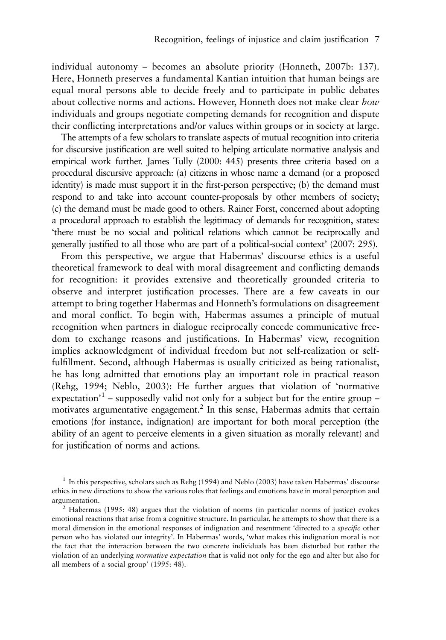individual autonomy – becomes an absolute priority (Honneth, [2007b:](#page-22-0) 137). Here, Honneth preserves a fundamental Kantian intuition that human beings are equal moral persons able to decide freely and to participate in public debates about collective norms and actions. However, Honneth does not make clear  $how$ individuals and groups negotiate competing demands for recognition and dispute their conflicting interpretations and/or values within groups or in society at large.

The attempts of a few scholars to translate aspects of mutual recognition into criteria for discursive justification are well suited to helping articulate normative analysis and empirical work further. James Tully [\(2000:](#page-24-0) 445) presents three criteria based on a procedural discursive approach: (a) citizens in whose name a demand (or a proposed identity) is made must support it in the first-person perspective; (b) the demand must respond to and take into account counter-proposals by other members of society; (c) the demand must be made good to others. Rainer Forst, concerned about adopting a procedural approach to establish the legitimacy of demands for recognition, states: 'there must be no social and political relations which cannot be reciprocally and generally justified to all those who are part of a political-social context' (2007: 295).

From this perspective, we argue that Habermas' discourse ethics is a useful theoretical framework to deal with moral disagreement and conflicting demands for recognition: it provides extensive and theoretically grounded criteria to observe and interpret justification processes. There are a few caveats in our attempt to bring together Habermas and Honneth's formulations on disagreement and moral conflict. To begin with, Habermas assumes a principle of mutual recognition when partners in dialogue reciprocally concede communicative freedom to exchange reasons and justifications. In Habermas' view, recognition implies acknowledgment of individual freedom but not self-realization or selffulfillment. Second, although Habermas is usually criticized as being rationalist, he has long admitted that emotions play an important role in practical reason (Rehg, [1994](#page-23-0); Neblo, [2003\)](#page-23-0): He further argues that violation of 'normative expectation<sup> $1$ </sup> – supposedly valid not only for a subject but for the entire group – motivates argumentative engagement.<sup>2</sup> In this sense, Habermas admits that certain emotions (for instance, indignation) are important for both moral perception (the ability of an agent to perceive elements in a given situation as morally relevant) and for justification of norms and actions.

<sup>&</sup>lt;sup>1</sup> In this perspective, scholars such as Rehg ([1994](#page-23-0)) and Neblo ([2003](#page-23-0)) have taken Habermas' discourse ethics in new directions to show the various roles that feelings and emotions have in moral perception and argumentation.

<sup>2</sup> Habermas [\(1995](#page-22-0): 48) argues that the violation of norms (in particular norms of justice) evokes emotional reactions that arise from a cognitive structure. In particular, he attempts to show that there is a moral dimension in the emotional responses of indignation and resentment 'directed to a *specific* other person who has violated our integrity'. In Habermas' words, 'what makes this indignation moral is not the fact that the interaction between the two concrete individuals has been disturbed but rather the violation of an underlying *normative expectation* that is valid not only for the ego and alter but also for all members of a social group' (1995: 48).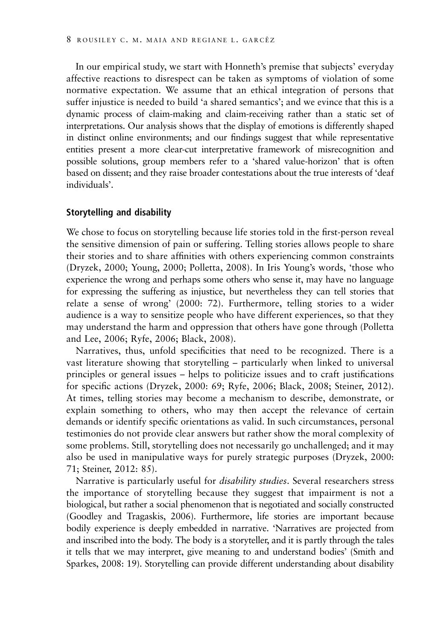In our empirical study, we start with Honneth's premise that subjects' everyday affective reactions to disrespect can be taken as symptoms of violation of some normative expectation. We assume that an ethical integration of persons that suffer injustice is needed to build 'a shared semantics'; and we evince that this is a dynamic process of claim-making and claim-receiving rather than a static set of interpretations. Our analysis shows that the display of emotions is differently shaped in distinct online environments; and our findings suggest that while representative entities present a more clear-cut interpretative framework of misrecognition and possible solutions, group members refer to a 'shared value-horizon' that is often based on dissent; and they raise broader contestations about the true interests of 'deaf individuals'.

#### Storytelling and disability

We chose to focus on storytelling because life stories told in the first-person reveal the sensitive dimension of pain or suffering. Telling stories allows people to share their stories and to share affinities with others experiencing common constraints (Dryzek, [2000;](#page-22-0) Young, [2000;](#page-24-0) Polletta, [2008\)](#page-23-0). In Iris Young's words, 'those who experience the wrong and perhaps some others who sense it, may have no language for expressing the suffering as injustice, but nevertheless they can tell stories that relate a sense of wrong' (2000: 72). Furthermore, telling stories to a wider audience is a way to sensitize people who have different experiences, so that they may understand the harm and oppression that others have gone through (Polletta and Lee, [2006;](#page-23-0) Ryfe, [2006](#page-23-0); Black, [2008\)](#page-22-0).

Narratives, thus, unfold specificities that need to be recognized. There is a vast literature showing that storytelling – particularly when linked to universal principles or general issues – helps to politicize issues and to craft justifications for specific actions (Dryzek, [2000:](#page-22-0) 69; Ryfe, [2006;](#page-23-0) Black, [2008](#page-22-0); Steiner, [2012\)](#page-23-0). At times, telling stories may become a mechanism to describe, demonstrate, or explain something to others, who may then accept the relevance of certain demands or identify specific orientations as valid. In such circumstances, personal testimonies do not provide clear answers but rather show the moral complexity of some problems. Still, storytelling does not necessarily go unchallenged; and it may also be used in manipulative ways for purely strategic purposes (Dryzek, [2000:](#page-22-0) 71; Steiner, [2012](#page-23-0): 85).

Narrative is particularly useful for disability studies. Several researchers stress the importance of storytelling because they suggest that impairment is not a biological, but rather a social phenomenon that is negotiated and socially constructed (Goodley and Tragaskis, [2006](#page-22-0)). Furthermore, life stories are important because bodily experience is deeply embedded in narrative. 'Narratives are projected from and inscribed into the body. The body is a storyteller, and it is partly through the tales it tells that we may interpret, give meaning to and understand bodies' (Smith and Sparkes, [2008:](#page-23-0) 19). Storytelling can provide different understanding about disability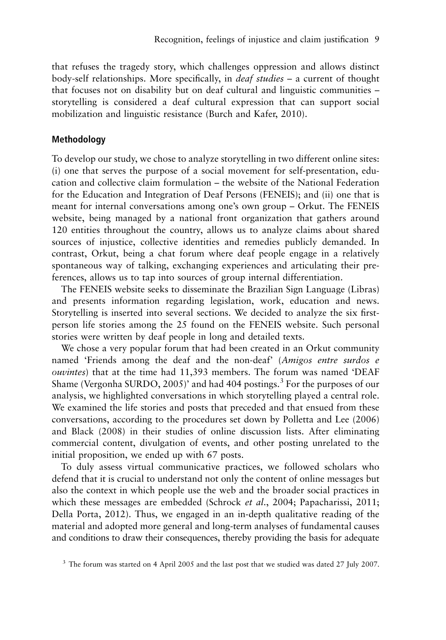that refuses the tragedy story, which challenges oppression and allows distinct body-self relationships. More specifically, in deaf studies – a current of thought that focuses not on disability but on deaf cultural and linguistic communities – storytelling is considered a deaf cultural expression that can support social mobilization and linguistic resistance (Burch and Kafer, [2010\)](#page-22-0).

#### Methodology

To develop our study, we chose to analyze storytelling in two different online sites: (i) one that serves the purpose of a social movement for self-presentation, education and collective claim formulation – the website of the National Federation for the Education and Integration of Deaf Persons (FENEIS); and (ii) one that is meant for internal conversations among one's own group – Orkut. The FENEIS website, being managed by a national front organization that gathers around 120 entities throughout the country, allows us to analyze claims about shared sources of injustice, collective identities and remedies publicly demanded. In contrast, Orkut, being a chat forum where deaf people engage in a relatively spontaneous way of talking, exchanging experiences and articulating their preferences, allows us to tap into sources of group internal differentiation.

The FENEIS website seeks to disseminate the Brazilian Sign Language (Libras) and presents information regarding legislation, work, education and news. Storytelling is inserted into several sections. We decided to analyze the six firstperson life stories among the 25 found on the FENEIS website. Such personal stories were written by deaf people in long and detailed texts.

We chose a very popular forum that had been created in an Orkut community named 'Friends among the deaf and the non-deaf' (Amigos entre surdos e ouvintes) that at the time had 11,393 members. The forum was named 'DEAF Shame (Vergonha SURDO, 2005)' and had 404 postings.<sup>3</sup> For the purposes of our analysis, we highlighted conversations in which storytelling played a central role. We examined the life stories and posts that preceded and that ensued from these conversations, according to the procedures set down by Polletta and Lee ([2006\)](#page-23-0) and Black [\(2008\)](#page-22-0) in their studies of online discussion lists. After eliminating commercial content, divulgation of events, and other posting unrelated to the initial proposition, we ended up with 67 posts.

To duly assess virtual communicative practices, we followed scholars who defend that it is crucial to understand not only the content of online messages but also the context in which people use the web and the broader social practices in which these messages are embedded (Schrock *et al.*, [2004;](#page-23-0) Papacharissi, [2011](#page-23-0); Della Porta, [2012](#page-22-0)). Thus, we engaged in an in-depth qualitative reading of the material and adopted more general and long-term analyses of fundamental causes and conditions to draw their consequences, thereby providing the basis for adequate

 $3$  The forum was started on 4 April 2005 and the last post that we studied was dated 27 July 2007.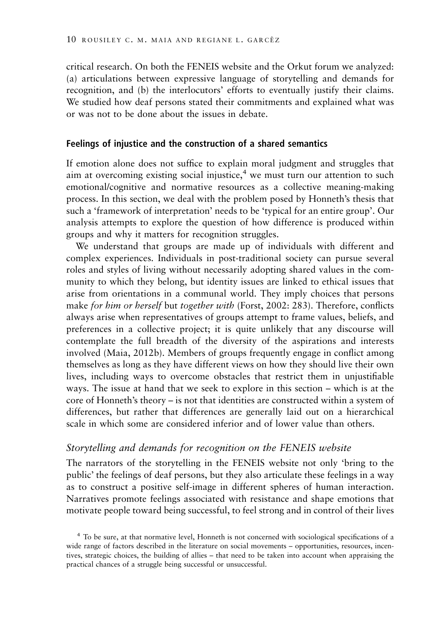critical research. On both the FENEIS website and the Orkut forum we analyzed: (a) articulations between expressive language of storytelling and demands for recognition, and (b) the interlocutors' efforts to eventually justify their claims. We studied how deaf persons stated their commitments and explained what was or was not to be done about the issues in debate.

#### Feelings of injustice and the construction of a shared semantics

If emotion alone does not suffice to explain moral judgment and struggles that aim at overcoming existing social injustice, $4$  we must turn our attention to such emotional/cognitive and normative resources as a collective meaning-making process. In this section, we deal with the problem posed by Honneth's thesis that such a 'framework of interpretation' needs to be 'typical for an entire group'. Our analysis attempts to explore the question of how difference is produced within groups and why it matters for recognition struggles.

We understand that groups are made up of individuals with different and complex experiences. Individuals in post-traditional society can pursue several roles and styles of living without necessarily adopting shared values in the community to which they belong, but identity issues are linked to ethical issues that arise from orientations in a communal world. They imply choices that persons make for him or herself but together with (Forst, [2002:](#page-22-0) 283). Therefore, conflicts always arise when representatives of groups attempt to frame values, beliefs, and preferences in a collective project; it is quite unlikely that any discourse will contemplate the full breadth of the diversity of the aspirations and interests involved (Maia, 2012b). Members of groups frequently engage in conflict among themselves as long as they have different views on how they should live their own lives, including ways to overcome obstacles that restrict them in unjustifiable ways. The issue at hand that we seek to explore in this section – which is at the core of Honneth's theory – is not that identities are constructed within a system of differences, but rather that differences are generally laid out on a hierarchical scale in which some are considered inferior and of lower value than others.

#### Storytelling and demands for recognition on the FENEIS website

The narrators of the storytelling in the FENEIS website not only 'bring to the public' the feelings of deaf persons, but they also articulate these feelings in a way as to construct a positive self-image in different spheres of human interaction. Narratives promote feelings associated with resistance and shape emotions that motivate people toward being successful, to feel strong and in control of their lives

<sup>4</sup> To be sure, at that normative level, Honneth is not concerned with sociological specifications of a wide range of factors described in the literature on social movements – opportunities, resources, incentives, strategic choices, the building of allies – that need to be taken into account when appraising the practical chances of a struggle being successful or unsuccessful.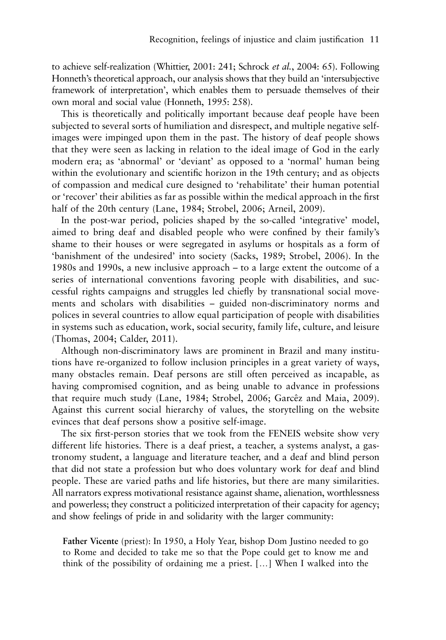to achieve self-realization (Whittier, [2001:](#page-24-0) 241; Schrock et al., [2004](#page-23-0): 65). Following Honneth's theoretical approach, our analysis shows that they build an 'intersubjective framework of interpretation', which enables them to persuade themselves of their own moral and social value (Honneth, [1995](#page-22-0): 258).

This is theoretically and politically important because deaf people have been subjected to several sorts of humiliation and disrespect, and multiple negative selfimages were impinged upon them in the past. The history of deaf people shows that they were seen as lacking in relation to the ideal image of God in the early modern era; as 'abnormal' or 'deviant' as opposed to a 'normal' human being within the evolutionary and scientific horizon in the 19th century; and as objects of compassion and medical cure designed to 'rehabilitate' their human potential or 'recover' their abilities as far as possible within the medical approach in the first half of the 20th century (Lane, [1984;](#page-23-0) Strobel, [2006](#page-23-0); Arneil, [2009](#page-22-0)).

In the post-war period, policies shaped by the so-called 'integrative' model, aimed to bring deaf and disabled people who were confined by their family's shame to their houses or were segregated in asylums or hospitals as a form of 'banishment of the undesired' into society (Sacks, [1989](#page-23-0); Strobel, [2006\)](#page-23-0). In the 1980s and 1990s, a new inclusive approach – to a large extent the outcome of a series of international conventions favoring people with disabilities, and successful rights campaigns and struggles led chiefly by transnational social movements and scholars with disabilities – guided non-discriminatory norms and polices in several countries to allow equal participation of people with disabilities in systems such as education, work, social security, family life, culture, and leisure (Thomas, [2004;](#page-23-0) Calder, [2011](#page-22-0)).

Although non-discriminatory laws are prominent in Brazil and many institutions have re-organized to follow inclusion principles in a great variety of ways, many obstacles remain. Deaf persons are still often perceived as incapable, as having compromised cognition, and as being unable to advance in professions that require much study (Lane, [1984](#page-23-0); Strobel, [2006](#page-23-0); Garcêz and Maia, [2009\)](#page-22-0). Against this current social hierarchy of values, the storytelling on the website evinces that deaf persons show a positive self-image.

The six first-person stories that we took from the FENEIS website show very different life histories. There is a deaf priest, a teacher, a systems analyst, a gastronomy student, a language and literature teacher, and a deaf and blind person that did not state a profession but who does voluntary work for deaf and blind people. These are varied paths and life histories, but there are many similarities. All narrators express motivational resistance against shame, alienation, worthlessness and powerless; they construct a politicized interpretation of their capacity for agency; and show feelings of pride in and solidarity with the larger community:

Father Vicente (priest): In 1950, a Holy Year, bishop Dom Justino needed to go to Rome and decided to take me so that the Pope could get to know me and think of the possibility of ordaining me a priest.  $[...]$  When I walked into the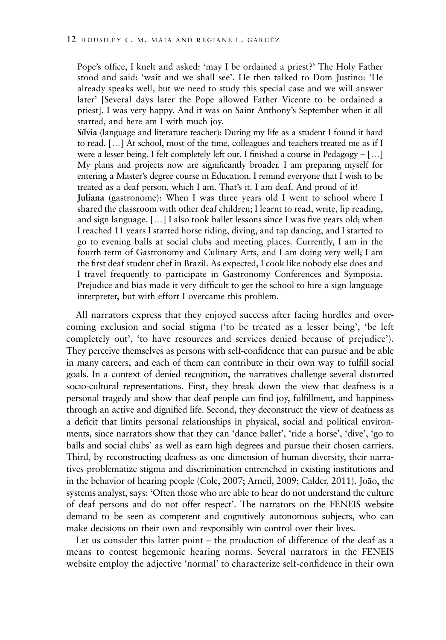Pope's office, I knelt and asked: 'may I be ordained a priest?' The Holy Father stood and said: 'wait and we shall see'. He then talked to Dom Justino: 'He already speaks well, but we need to study this special case and we will answer later' [Several days later the Pope allowed Father Vicente to be ordained a priest]. I was very happy. And it was on Saint Anthony's September when it all started, and here am I with much joy.

Sílvia (language and literature teacher): During my life as a student I found it hard to read.  $[\,\ldots]$  At school, most of the time, colleagues and teachers treated me as if I were a lesser being. I felt completely left out. I finished a course in Pedagogy  $-[...]$ My plans and projects now are significantly broader. I am preparing myself for entering a Master's degree course in Education. I remind everyone that I wish to be treated as a deaf person, which I am. That's it. I am deaf. And proud of it! Juliana (gastronome): When I was three years old I went to school where I shared the classroom with other deaf children; I learnt to read, write, lip reading, and sign language.  $[\dots]$  I also took ballet lessons since I was five years old; when I reached 11 years I started horse riding, diving, and tap dancing, and I started to go to evening balls at social clubs and meeting places. Currently, I am in the fourth term of Gastronomy and Culinary Arts, and I am doing very well; I am the first deaf student chef in Brazil. As expected, I cook like nobody else does and I travel frequently to participate in Gastronomy Conferences and Symposia. Prejudice and bias made it very difficult to get the school to hire a sign language interpreter, but with effort I overcame this problem.

All narrators express that they enjoyed success after facing hurdles and overcoming exclusion and social stigma ('to be treated as a lesser being', 'be left completely out', 'to have resources and services denied because of prejudice'). They perceive themselves as persons with self-confidence that can pursue and be able in many careers, and each of them can contribute in their own way to fulfill social goals. In a context of denied recognition, the narratives challenge several distorted socio-cultural representations. First, they break down the view that deafness is a personal tragedy and show that deaf people can find joy, fulfillment, and happiness through an active and dignified life. Second, they deconstruct the view of deafness as a deficit that limits personal relationships in physical, social and political environments, since narrators show that they can 'dance ballet', 'ride a horse', 'dive', 'go to balls and social clubs' as well as earn high degrees and pursue their chosen carriers. Third, by reconstructing deafness as one dimension of human diversity, their narratives problematize stigma and discrimination entrenched in existing institutions and in the behavior of hearing people (Cole, [2007](#page-22-0); Arneil, [2009](#page-22-0); Calder, [2011](#page-22-0)). João, the systems analyst, says: 'Often those who are able to hear do not understand the culture of deaf persons and do not offer respect'. The narrators on the FENEIS website demand to be seen as competent and cognitively autonomous subjects, who can make decisions on their own and responsibly win control over their lives.

Let us consider this latter point – the production of difference of the deaf as a means to contest hegemonic hearing norms. Several narrators in the FENEIS website employ the adjective 'normal' to characterize self-confidence in their own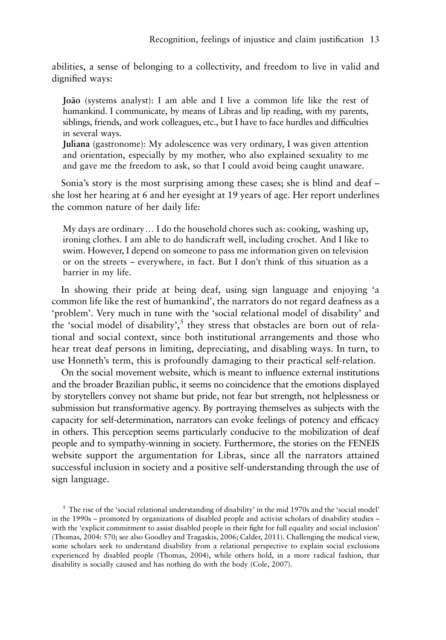abilities, a sense of belonging to a collectivity, and freedom to live in valid and dignified ways:

João (systems analyst): I am able and I live a common life like the rest of humankind. I communicate, by means of Libras and lip reading, with my parents, siblings, friends, and work colleagues, etc., but I have to face hurdles and difficulties in several ways.

Juliana (gastronome): My adolescence was very ordinary, I was given attention and orientation, especially by my mother, who also explained sexuality to me and gave me the freedom to ask, so that I could avoid being caught unaware.

Sonia's story is the most surprising among these cases; she is blind and deaf – she lost her hearing at 6 and her eyesight at 19 years of age. Her report underlines the common nature of her daily life:

My days are ordinary  $\dots$  I do the household chores such as: cooking, washing up, ironing clothes. I am able to do handicraft well, including crochet. And I like to swim. However, I depend on someone to pass me information given on television or on the streets – everywhere, in fact. But I don't think of this situation as a barrier in my life.

In showing their pride at being deaf, using sign language and enjoying 'a common life like the rest of humankind', the narrators do not regard deafness as a 'problem'. Very much in tune with the 'social relational model of disability' and the 'social model of disability',<sup>5</sup> they stress that obstacles are born out of relational and social context, since both institutional arrangements and those who hear treat deaf persons in limiting, depreciating, and disabling ways. In turn, to use Honneth's term, this is profoundly damaging to their practical self-relation.

On the social movement website, which is meant to influence external institutions and the broader Brazilian public, it seems no coincidence that the emotions displayed by storytellers convey not shame but pride, not fear but strength, not helplessness or submission but transformative agency. By portraying themselves as subjects with the capacity for self-determination, narrators can evoke feelings of potency and efficacy in others. This perception seems particularly conducive to the mobilization of deaf people and to sympathy-winning in society. Furthermore, the stories on the FENEIS website support the argumentation for Libras, since all the narrators attained successful inclusion in society and a positive self-understanding through the use of sign language.

<sup>5</sup> The rise of the 'social relational understanding of disability' in the mid 1970s and the 'social model' in the 1990s – promoted by organizations of disabled people and activist scholars of disability studies – with the 'explicit commitment to assist disabled people in their fight for full equality and social inclusion' (Thomas, [2004:](#page-23-0) 570; see also Goodley and Tragaskis, [2006](#page-22-0); Calder, [2011](#page-22-0)). Challenging the medical view, some scholars seek to understand disability from a relational perspective to explain social exclusions experienced by disabled people (Thomas, [2004\)](#page-23-0), while others hold, in a more radical fashion, that disability is socially caused and has nothing do with the body (Cole, [2007\)](#page-22-0).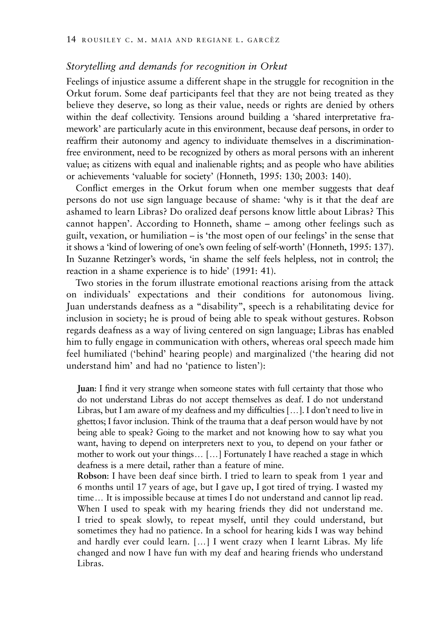### Storytelling and demands for recognition in Orkut

Feelings of injustice assume a different shape in the struggle for recognition in the Orkut forum. Some deaf participants feel that they are not being treated as they believe they deserve, so long as their value, needs or rights are denied by others within the deaf collectivity. Tensions around building a 'shared interpretative framework' are particularly acute in this environment, because deaf persons, in order to reaffirm their autonomy and agency to individuate themselves in a discriminationfree environment, need to be recognized by others as moral persons with an inherent value; as citizens with equal and inalienable rights; and as people who have abilities or achievements 'valuable for society' (Honneth, [1995](#page-22-0): 130; 2003: 140).

Conflict emerges in the Orkut forum when one member suggests that deaf persons do not use sign language because of shame: 'why is it that the deaf are ashamed to learn Libras? Do oralized deaf persons know little about Libras? This cannot happen'. According to Honneth, shame – among other feelings such as guilt, vexation, or humiliation – is 'the most open of our feelings' in the sense that it shows a 'kind of lowering of one's own feeling of self-worth' (Honneth, [1995](#page-22-0): 137). In Suzanne Retzinger's words, 'in shame the self feels helpless, not in control; the reaction in a shame experience is to hide' [\(1991:](#page-23-0) 41).

Two stories in the forum illustrate emotional reactions arising from the attack on individuals' expectations and their conditions for autonomous living. Juan understands deafness as a ''disability'', speech is a rehabilitating device for inclusion in society; he is proud of being able to speak without gestures. Robson regards deafness as a way of living centered on sign language; Libras has enabled him to fully engage in communication with others, whereas oral speech made him feel humiliated ('behind' hearing people) and marginalized ('the hearing did not understand him' and had no 'patience to listen'):

Juan: I find it very strange when someone states with full certainty that those who do not understand Libras do not accept themselves as deaf. I do not understand Libras, but I am aware of my deafness and my difficulties  $[\,\dots]$ . I don't need to live in ghettos; I favor inclusion. Think of the trauma that a deaf person would have by not being able to speak? Going to the market and not knowing how to say what you want, having to depend on interpreters next to you, to depend on your father or mother to work out your things...  $[\,\ldots]$  Fortunately I have reached a stage in which deafness is a mere detail, rather than a feature of mine.

Robson: I have been deaf since birth. I tried to learn to speak from 1 year and 6 months until 17 years of age, but I gave up, I got tired of trying. I wasted my time... It is impossible because at times I do not understand and cannot lip read. When I used to speak with my hearing friends they did not understand me. I tried to speak slowly, to repeat myself, until they could understand, but sometimes they had no patience. In a school for hearing kids I was way behind and hardly ever could learn.  $[...]$  I went crazy when I learnt Libras. My life changed and now I have fun with my deaf and hearing friends who understand Libras.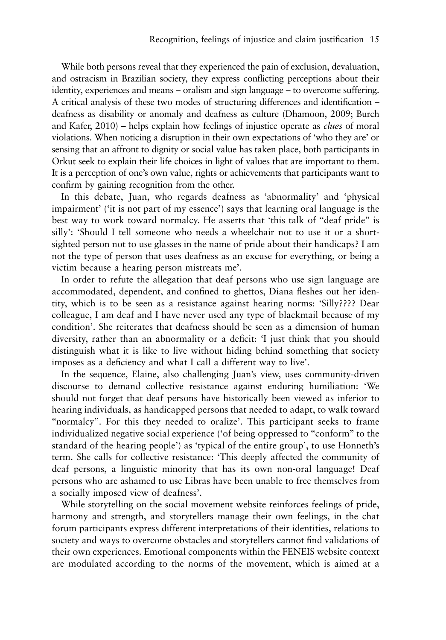While both persons reveal that they experienced the pain of exclusion, devaluation, and ostracism in Brazilian society, they express conflicting perceptions about their identity, experiences and means – oralism and sign language – to overcome suffering. A critical analysis of these two modes of structuring differences and identification – deafness as disability or anomaly and deafness as culture (Dhamoon, [2009](#page-22-0); Burch and Kafer, [2010\)](#page-22-0) – helps explain how feelings of injustice operate as clues of moral violations. When noticing a disruption in their own expectations of 'who they are' or sensing that an affront to dignity or social value has taken place, both participants in Orkut seek to explain their life choices in light of values that are important to them. It is a perception of one's own value, rights or achievements that participants want to confirm by gaining recognition from the other.

In this debate, Juan, who regards deafness as 'abnormality' and 'physical impairment' ('it is not part of my essence') says that learning oral language is the best way to work toward normalcy. He asserts that 'this talk of ''deaf pride'' is silly': 'Should I tell someone who needs a wheelchair not to use it or a shortsighted person not to use glasses in the name of pride about their handicaps? I am not the type of person that uses deafness as an excuse for everything, or being a victim because a hearing person mistreats me'.

In order to refute the allegation that deaf persons who use sign language are accommodated, dependent, and confined to ghettos, Diana fleshes out her identity, which is to be seen as a resistance against hearing norms: 'Silly???? Dear colleague, I am deaf and I have never used any type of blackmail because of my condition'. She reiterates that deafness should be seen as a dimension of human diversity, rather than an abnormality or a deficit: 'I just think that you should distinguish what it is like to live without hiding behind something that society imposes as a deficiency and what I call a different way to live'.

In the sequence, Elaine, also challenging Juan's view, uses community-driven discourse to demand collective resistance against enduring humiliation: 'We should not forget that deaf persons have historically been viewed as inferior to hearing individuals, as handicapped persons that needed to adapt, to walk toward ''normalcy''. For this they needed to oralize'. This participant seeks to frame individualized negative social experience ('of being oppressed to ''conform'' to the standard of the hearing people') as 'typical of the entire group', to use Honneth's term. She calls for collective resistance: 'This deeply affected the community of deaf persons, a linguistic minority that has its own non-oral language! Deaf persons who are ashamed to use Libras have been unable to free themselves from a socially imposed view of deafness'.

While storytelling on the social movement website reinforces feelings of pride, harmony and strength, and storytellers manage their own feelings, in the chat forum participants express different interpretations of their identities, relations to society and ways to overcome obstacles and storytellers cannot find validations of their own experiences. Emotional components within the FENEIS website context are modulated according to the norms of the movement, which is aimed at a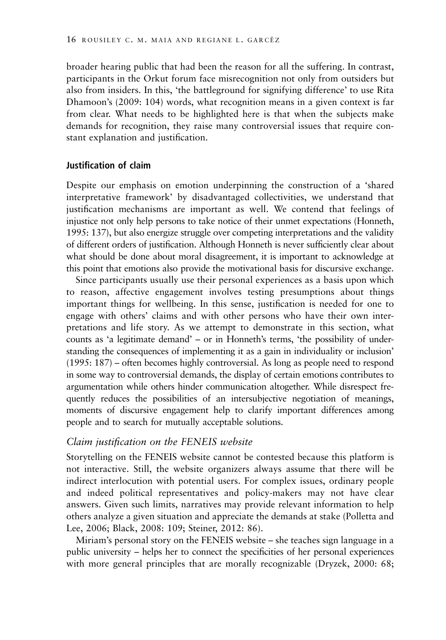broader hearing public that had been the reason for all the suffering. In contrast, participants in the Orkut forum face misrecognition not only from outsiders but also from insiders. In this, 'the battleground for signifying difference' to use Rita Dhamoon's ([2009](#page-22-0): 104) words, what recognition means in a given context is far from clear. What needs to be highlighted here is that when the subjects make demands for recognition, they raise many controversial issues that require constant explanation and justification.

#### Justification of claim

Despite our emphasis on emotion underpinning the construction of a 'shared interpretative framework' by disadvantaged collectivities, we understand that justification mechanisms are important as well. We contend that feelings of injustice not only help persons to take notice of their unmet expectations (Honneth, [1995](#page-22-0): 137), but also energize struggle over competing interpretations and the validity of different orders of justification. Although Honneth is never sufficiently clear about what should be done about moral disagreement, it is important to acknowledge at this point that emotions also provide the motivational basis for discursive exchange.

Since participants usually use their personal experiences as a basis upon which to reason, affective engagement involves testing presumptions about things important things for wellbeing. In this sense, justification is needed for one to engage with others' claims and with other persons who have their own interpretations and life story. As we attempt to demonstrate in this section, what counts as 'a legitimate demand' – or in Honneth's terms, 'the possibility of understanding the consequences of implementing it as a gain in individuality or inclusion' (1995: 187) – often becomes highly controversial. As long as people need to respond in some way to controversial demands, the display of certain emotions contributes to argumentation while others hinder communication altogether. While disrespect frequently reduces the possibilities of an intersubjective negotiation of meanings, moments of discursive engagement help to clarify important differences among people and to search for mutually acceptable solutions.

#### Claim justification on the FENEIS website

Storytelling on the FENEIS website cannot be contested because this platform is not interactive. Still, the website organizers always assume that there will be indirect interlocution with potential users. For complex issues, ordinary people and indeed political representatives and policy-makers may not have clear answers. Given such limits, narratives may provide relevant information to help others analyze a given situation and appreciate the demands at stake (Polletta and Lee, [2006;](#page-23-0) Black, [2008:](#page-22-0) 109; Steiner, [2012](#page-23-0): 86).

Miriam's personal story on the FENEIS website – she teaches sign language in a public university – helps her to connect the specificities of her personal experiences with more general principles that are morally recognizable (Dryzek, [2000:](#page-22-0) 68;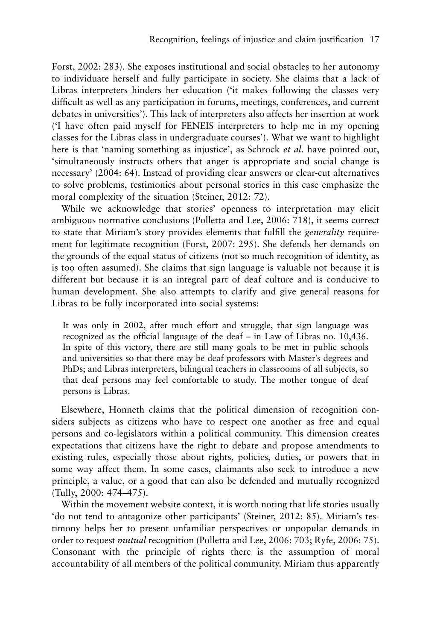Forst, [2002:](#page-22-0) 283). She exposes institutional and social obstacles to her autonomy to individuate herself and fully participate in society. She claims that a lack of Libras interpreters hinders her education ('it makes following the classes very difficult as well as any participation in forums, meetings, conferences, and current debates in universities'). This lack of interpreters also affects her insertion at work ('I have often paid myself for FENEIS interpreters to help me in my opening classes for the Libras class in undergraduate courses'). What we want to highlight here is that 'naming something as injustice', as Schrock *et al*. have pointed out, 'simultaneously instructs others that anger is appropriate and social change is necessary' (2004: 64). Instead of providing clear answers or clear-cut alternatives to solve problems, testimonies about personal stories in this case emphasize the moral complexity of the situation (Steiner, [2012](#page-23-0): 72).

While we acknowledge that stories' openness to interpretation may elicit ambiguous normative conclusions (Polletta and Lee, [2006:](#page-23-0) 718), it seems correct to state that Miriam's story provides elements that fulfill the *generality* requirement for legitimate recognition (Forst, [2007](#page-22-0): 295). She defends her demands on the grounds of the equal status of citizens (not so much recognition of identity, as is too often assumed). She claims that sign language is valuable not because it is different but because it is an integral part of deaf culture and is conducive to human development. She also attempts to clarify and give general reasons for Libras to be fully incorporated into social systems:

It was only in 2002, after much effort and struggle, that sign language was recognized as the official language of the deaf – in Law of Libras no. 10,436. In spite of this victory, there are still many goals to be met in public schools and universities so that there may be deaf professors with Master's degrees and PhDs; and Libras interpreters, bilingual teachers in classrooms of all subjects, so that deaf persons may feel comfortable to study. The mother tongue of deaf persons is Libras.

Elsewhere, Honneth claims that the political dimension of recognition considers subjects as citizens who have to respect one another as free and equal persons and co-legislators within a political community. This dimension creates expectations that citizens have the right to debate and propose amendments to existing rules, especially those about rights, policies, duties, or powers that in some way affect them. In some cases, claimants also seek to introduce a new principle, a value, or a good that can also be defended and mutually recognized (Tully, [2000:](#page-24-0) 474–475).

Within the movement website context, it is worth noting that life stories usually 'do not tend to antagonize other participants' (Steiner, [2012](#page-23-0): 85). Miriam's testimony helps her to present unfamiliar perspectives or unpopular demands in order to request *mutual* recognition (Polletta and Lee, [2006](#page-23-0): 703; Ryfe, 2006: 75). Consonant with the principle of rights there is the assumption of moral accountability of all members of the political community. Miriam thus apparently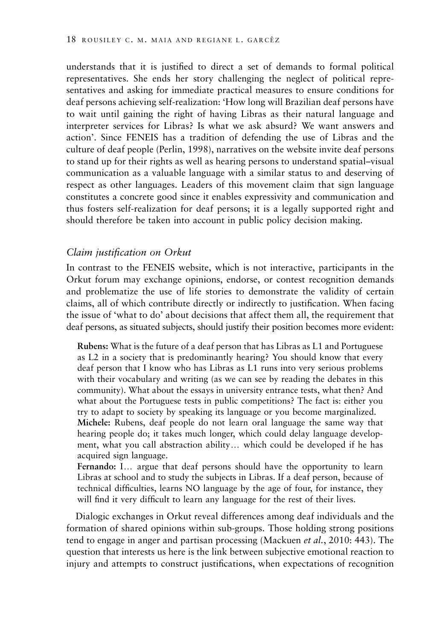understands that it is justified to direct a set of demands to formal political representatives. She ends her story challenging the neglect of political representatives and asking for immediate practical measures to ensure conditions for deaf persons achieving self-realization: 'How long will Brazilian deaf persons have to wait until gaining the right of having Libras as their natural language and interpreter services for Libras? Is what we ask absurd? We want answers and action'. Since FENEIS has a tradition of defending the use of Libras and the culture of deaf people (Perlin, [1998\)](#page-23-0), narratives on the website invite deaf persons to stand up for their rights as well as hearing persons to understand spatial–visual communication as a valuable language with a similar status to and deserving of respect as other languages. Leaders of this movement claim that sign language constitutes a concrete good since it enables expressivity and communication and thus fosters self-realization for deaf persons; it is a legally supported right and should therefore be taken into account in public policy decision making.

## Claim justification on Orkut

In contrast to the FENEIS website, which is not interactive, participants in the Orkut forum may exchange opinions, endorse, or contest recognition demands and problematize the use of life stories to demonstrate the validity of certain claims, all of which contribute directly or indirectly to justification. When facing the issue of 'what to do' about decisions that affect them all, the requirement that deaf persons, as situated subjects, should justify their position becomes more evident:

Rubens: What is the future of a deaf person that has Libras as L1 and Portuguese as L2 in a society that is predominantly hearing? You should know that every deaf person that I know who has Libras as L1 runs into very serious problems with their vocabulary and writing (as we can see by reading the debates in this community). What about the essays in university entrance tests, what then? And what about the Portuguese tests in public competitions? The fact is: either you try to adapt to society by speaking its language or you become marginalized. Michele: Rubens, deaf people do not learn oral language the same way that hearing people do; it takes much longer, which could delay language development, what you call abstraction ability... which could be developed if he has acquired sign language.

Fernando: I... argue that deaf persons should have the opportunity to learn Libras at school and to study the subjects in Libras. If a deaf person, because of technical difficulties, learns NO language by the age of four, for instance, they will find it very difficult to learn any language for the rest of their lives.

Dialogic exchanges in Orkut reveal differences among deaf individuals and the formation of shared opinions within sub-groups. Those holding strong positions tend to engage in anger and partisan processing (Mackuen et al., [2010](#page-23-0): 443). The question that interests us here is the link between subjective emotional reaction to injury and attempts to construct justifications, when expectations of recognition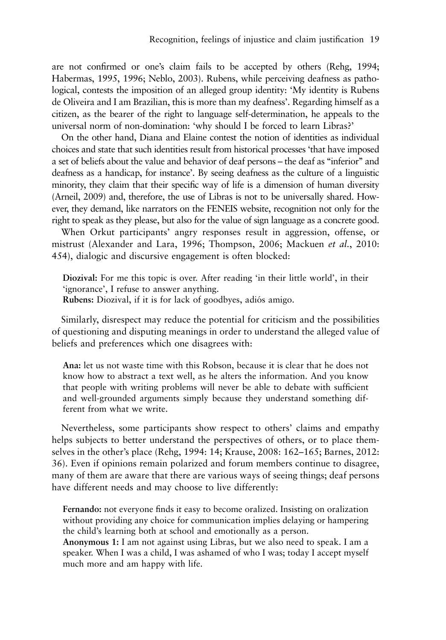are not confirmed or one's claim fails to be accepted by others (Rehg, [1994](#page-23-0); Habermas, [1995](#page-22-0), [1996](#page-22-0); Neblo, [2003\)](#page-23-0). Rubens, while perceiving deafness as pathological, contests the imposition of an alleged group identity: 'My identity is Rubens de Oliveira and I am Brazilian, this is more than my deafness'. Regarding himself as a citizen, as the bearer of the right to language self-determination, he appeals to the universal norm of non-domination: 'why should I be forced to learn Libras?'

On the other hand, Diana and Elaine contest the notion of identities as individual choices and state that such identities result from historical processes 'that have imposed a set of beliefs about the value and behavior of deaf persons – the deaf as ''inferior'' and deafness as a handicap, for instance'. By seeing deafness as the culture of a linguistic minority, they claim that their specific way of life is a dimension of human diversity (Arneil, [2009\)](#page-22-0) and, therefore, the use of Libras is not to be universally shared. However, they demand, like narrators on the FENEIS website, recognition not only for the right to speak as they please, but also for the value of sign language as a concrete good.

When Orkut participants' angry responses result in aggression, offense, or mistrust (Alexander and Lara, [1996](#page-22-0); Thompson, [2006;](#page-23-0) Mackuen et al., [2010](#page-23-0): 454), dialogic and discursive engagement is often blocked:

Diozival: For me this topic is over. After reading 'in their little world', in their 'ignorance', I refuse to answer anything. Rubens: Diozival, if it is for lack of goodbyes, adiós amigo.

Similarly, disrespect may reduce the potential for criticism and the possibilities of questioning and disputing meanings in order to understand the alleged value of beliefs and preferences which one disagrees with:

Ana: let us not waste time with this Robson, because it is clear that he does not know how to abstract a text well, as he alters the information. And you know that people with writing problems will never be able to debate with sufficient and well-grounded arguments simply because they understand something different from what we write.

Nevertheless, some participants show respect to others' claims and empathy helps subjects to better understand the perspectives of others, or to place themselves in the other's place (Rehg, [1994](#page-23-0): 14; Krause, [2008](#page-23-0): 162–165; Barnes, [2012](#page-22-0): 36). Even if opinions remain polarized and forum members continue to disagree, many of them are aware that there are various ways of seeing things; deaf persons have different needs and may choose to live differently:

Fernando: not everyone finds it easy to become oralized. Insisting on oralization without providing any choice for communication implies delaying or hampering the child's learning both at school and emotionally as a person.

Anonymous 1: I am not against using Libras, but we also need to speak. I am a speaker. When I was a child, I was ashamed of who I was; today I accept myself much more and am happy with life.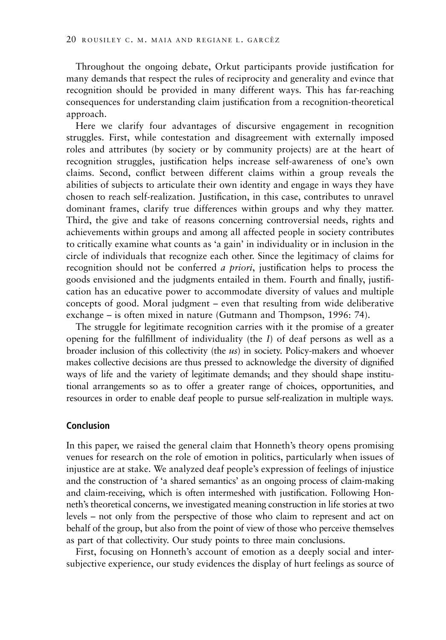Throughout the ongoing debate, Orkut participants provide justification for many demands that respect the rules of reciprocity and generality and evince that recognition should be provided in many different ways. This has far-reaching consequences for understanding claim justification from a recognition-theoretical approach.

Here we clarify four advantages of discursive engagement in recognition struggles. First, while contestation and disagreement with externally imposed roles and attributes (by society or by community projects) are at the heart of recognition struggles, justification helps increase self-awareness of one's own claims. Second, conflict between different claims within a group reveals the abilities of subjects to articulate their own identity and engage in ways they have chosen to reach self-realization. Justification, in this case, contributes to unravel dominant frames, clarify true differences within groups and why they matter. Third, the give and take of reasons concerning controversial needs, rights and achievements within groups and among all affected people in society contributes to critically examine what counts as 'a gain' in individuality or in inclusion in the circle of individuals that recognize each other. Since the legitimacy of claims for recognition should not be conferred a priori, justification helps to process the goods envisioned and the judgments entailed in them. Fourth and finally, justification has an educative power to accommodate diversity of values and multiple concepts of good. Moral judgment – even that resulting from wide deliberative exchange – is often mixed in nature (Gutmann and Thompson, [1996](#page-22-0): 74).

The struggle for legitimate recognition carries with it the promise of a greater opening for the fulfillment of individuality (the I) of deaf persons as well as a broader inclusion of this collectivity (the us) in society. Policy-makers and whoever makes collective decisions are thus pressed to acknowledge the diversity of dignified ways of life and the variety of legitimate demands; and they should shape institutional arrangements so as to offer a greater range of choices, opportunities, and resources in order to enable deaf people to pursue self-realization in multiple ways.

#### Conclusion

In this paper, we raised the general claim that Honneth's theory opens promising venues for research on the role of emotion in politics, particularly when issues of injustice are at stake. We analyzed deaf people's expression of feelings of injustice and the construction of 'a shared semantics' as an ongoing process of claim-making and claim-receiving, which is often intermeshed with justification. Following Honneth's theoretical concerns, we investigated meaning construction in life stories at two levels – not only from the perspective of those who claim to represent and act on behalf of the group, but also from the point of view of those who perceive themselves as part of that collectivity. Our study points to three main conclusions.

First, focusing on Honneth's account of emotion as a deeply social and intersubjective experience, our study evidences the display of hurt feelings as source of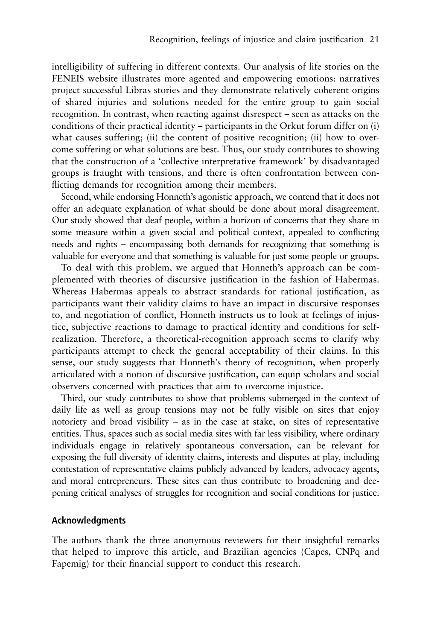intelligibility of suffering in different contexts. Our analysis of life stories on the FENEIS website illustrates more agented and empowering emotions: narratives project successful Libras stories and they demonstrate relatively coherent origins of shared injuries and solutions needed for the entire group to gain social recognition. In contrast, when reacting against disrespect – seen as attacks on the conditions of their practical identity – participants in the Orkut forum differ on (i) what causes suffering; (ii) the content of positive recognition; (ii) how to overcome suffering or what solutions are best. Thus, our study contributes to showing that the construction of a 'collective interpretative framework' by disadvantaged groups is fraught with tensions, and there is often confrontation between conflicting demands for recognition among their members.

Second, while endorsing Honneth's agonistic approach, we contend that it does not offer an adequate explanation of what should be done about moral disagreement. Our study showed that deaf people, within a horizon of concerns that they share in some measure within a given social and political context, appealed to conflicting needs and rights – encompassing both demands for recognizing that something is valuable for everyone and that something is valuable for just some people or groups.

To deal with this problem, we argued that Honneth's approach can be complemented with theories of discursive justification in the fashion of Habermas. Whereas Habermas appeals to abstract standards for rational justification, as participants want their validity claims to have an impact in discursive responses to, and negotiation of conflict, Honneth instructs us to look at feelings of injustice, subjective reactions to damage to practical identity and conditions for selfrealization. Therefore, a theoretical-recognition approach seems to clarify why participants attempt to check the general acceptability of their claims. In this sense, our study suggests that Honneth's theory of recognition, when properly articulated with a notion of discursive justification, can equip scholars and social observers concerned with practices that aim to overcome injustice.

Third, our study contributes to show that problems submerged in the context of daily life as well as group tensions may not be fully visible on sites that enjoy notoriety and broad visibility – as in the case at stake, on sites of representative entities. Thus, spaces such as social media sites with far less visibility, where ordinary individuals engage in relatively spontaneous conversation, can be relevant for exposing the full diversity of identity claims, interests and disputes at play, including contestation of representative claims publicly advanced by leaders, advocacy agents, and moral entrepreneurs. These sites can thus contribute to broadening and deepening critical analyses of struggles for recognition and social conditions for justice.

#### Acknowledgments

The authors thank the three anonymous reviewers for their insightful remarks that helped to improve this article, and Brazilian agencies (Capes, CNPq and Fapemig) for their financial support to conduct this research.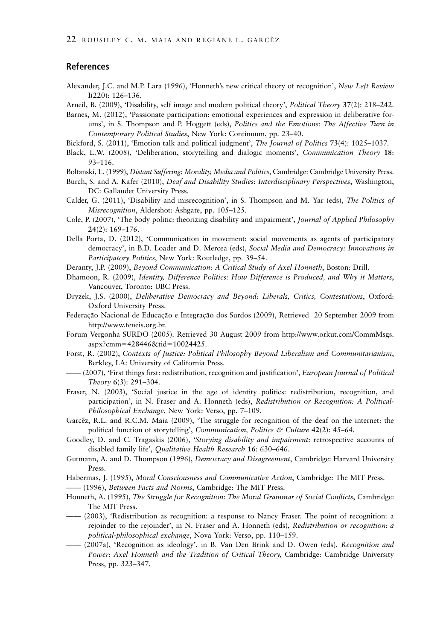#### <span id="page-22-0"></span>References

- Alexander, J.C. and M.P. Lara (1996), 'Honneth's new critical theory of recognition', New Left Review I(220): 126–136.
- Arneil, B. (2009), 'Disability, self image and modern political theory', Political Theory 37(2): 218–242.
- Barnes, M. (2012), 'Passionate participation: emotional experiences and expression in deliberative forums', in S. Thompson and P. Hoggett (eds), Politics and the Emotions: The Affective Turn in Contemporary Political Studies, New York: Continuum, pp. 23–40.
- Bickford, S. (2011), 'Emotion talk and political judgment', The Journal of Politics 73(4): 1025–1037.
- Black, L.W. (2008), 'Deliberation, storytelling and dialogic moments', Communication Theory 18: 93–116.
- Boltanski, L. (1999), Distant Suffering: Morality, Media and Politics, Cambridge: Cambridge University Press.
- Burch, S. and A. Kafer (2010), Deaf and Disability Studies: Interdisciplinary Perspectives, Washington, DC: Gallaudet University Press.
- Calder, G. (2011), 'Disability and misrecognition', in S. Thompson and M. Yar (eds), The Politics of Misrecognition, Aldershot: Ashgate, pp. 105–125.
- Cole, P. (2007), 'The body politic: theorizing disability and impairment', Journal of Applied Philosophy 24(2): 169–176.
- Della Porta, D. (2012), 'Communication in movement: social movements as agents of participatory democracy', in B.D. Loader and D. Mercea (eds), Social Media and Democracy: Innovations in Participatory Politics, New York: Routledge, pp. 39–54.
- Deranty, J.P. (2009), Beyond Communication: A Critical Study of Axel Honneth, Boston: Drill.
- Dhamoon, R. (2009), Identity, Difference Politics: How Difference is Produced, and Why it Matters, Vancouver, Toronto: UBC Press.
- Dryzek, J.S. (2000), Deliberative Democracy and Beyond: Liberals, Critics, Contestations, Oxford: Oxford University Press.
- Federação Nacional de Educação e Integração dos Surdos (2009), Retrieved 20 September 2009 from http://www.feneis.org.br.
- Forum Vergonha SURDO (2005). Retrieved 30 August 2009 from http://www.orkut.com/CommMsgs. aspx?cmm=428446&tid=10024425.
- Forst, R. (2002), Contexts of Justice: Political Philosophy Beyond Liberalism and Communitarianism, Berkley, LA: University of California Press.
- —— (2007), 'First things first: redistribution, recognition and justification', European Journal of Political Theory 6(3): 291–304.
- Fraser, N. (2003), 'Social justice in the age of identity politics: redistribution, recognition, and participation', in N. Fraser and A. Honneth (eds), Redistribution or Recognition: A Political-Philosophical Exchange, New York: Verso, pp. 7–109.
- Garcêz, R.L. and R.C.M. Maia (2009), 'The struggle for recognition of the deaf on the internet: the political function of storytelling', Communication, Politics & Culture 42(2): 45-64.
- Goodley, D. and C. Tragaskis (2006), 'Storying disability and impairment: retrospective accounts of disabled family life', Qualitative Health Research 16: 630–646.
- Gutmann, A. and D. Thompson (1996), *Democracy and Disagreement*, Cambridge: Harvard University Press.
- Habermas, J. (1995), Moral Consciousness and Communicative Action, Cambridge: The MIT Press.
- (1996), Between Facts and Norms, Cambridge: The MIT Press.
- Honneth, A. (1995), The Struggle for Recognition: The Moral Grammar of Social Conflicts, Cambridge: The MIT Press.
- —— (2003), 'Redistribution as recognition: a response to Nancy Fraser. The point of recognition: a rejoinder to the rejoinder', in N. Fraser and A. Honneth (eds), Redistribution or recognition: a political-philosophical exchange, Nova York: Verso, pp. 110–159.
- —— (2007a), 'Recognition as ideology', in B. Van Den Brink and D. Owen (eds), Recognition and Power: Axel Honneth and the Tradition of Critical Theory, Cambridge: Cambridge University Press, pp. 323–347.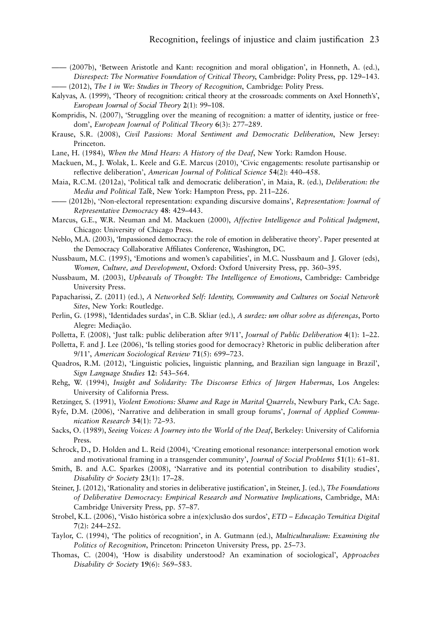- <span id="page-23-0"></span>—— (2007b), 'Between Aristotle and Kant: recognition and moral obligation', in Honneth, A. (ed.), Disrespect: The Normative Foundation of Critical Theory, Cambridge: Polity Press, pp. 129–143.
- —— (2012), The I in We: Studies in Theory of Recognition, Cambridge: Polity Press.
- Kalyvas, A. (1999), 'Theory of recognition: critical theory at the crossroads: comments on Axel Honneth's', European Journal of Social Theory 2(1): 99–108.
- Kompridis, N. (2007), 'Struggling over the meaning of recognition: a matter of identity, justice or freedom', European Journal of Political Theory 6(3): 277–289.
- Krause, S.R. (2008), Civil Passions: Moral Sentiment and Democratic Deliberation, New Jersey: Princeton.
- Lane, H. (1984), When the Mind Hears: A History of the Deaf, New York: Ramdon House.
- Mackuen, M., J. Wolak, L. Keele and G.E. Marcus (2010), 'Civic engagements: resolute partisanship or reflective deliberation', American Journal of Political Science 54(2): 440–458.
- Maia, R.C.M. (2012a), 'Political talk and democratic deliberation', in Maia, R. (ed.), Deliberation: the Media and Political Talk, New York: Hampton Press, pp. 211–226.
- —— (2012b), 'Non-electoral representation: expanding discursive domains', Representation: Journal of Representative Democracy 48: 429–443.
- Marcus, G.E., W.R. Neuman and M. Mackuen (2000), Affective Intelligence and Political Judgment, Chicago: University of Chicago Press.
- Neblo, M.A. (2003), 'Impassioned democracy: the role of emotion in deliberative theory'. Paper presented at the Democracy Collaborative Affiliates Conference, Washington, DC.
- Nussbaum, M.C. (1995), 'Emotions and women's capabilities', in M.C. Nussbaum and J. Glover (eds), Women, Culture, and Development, Oxford: Oxford University Press, pp. 360–395.
- Nussbaum, M. (2003), Upheavals of Thought: The Intelligence of Emotions, Cambridge: Cambridge University Press.
- Papacharissi, Z. (2011) (ed.), A Networked Self: Identity, Community and Cultures on Social Network Sites, New York: Routledge.
- Perlin, G. (1998), 'Identidades surdas', in C.B. Skliar (ed.), A surdez: um olhar sobre as diferenças, Porto Alegre: Mediação.
- Polletta, F. (2008), 'Just talk: public deliberation after 9/11', Journal of Public Deliberation 4(1): 1–22.
- Polletta, F. and J. Lee (2006), 'Is telling stories good for democracy? Rhetoric in public deliberation after 9/11', American Sociological Review 71(5): 699–723.
- Quadros, R.M. (2012), 'Linguistic policies, linguistic planning, and Brazilian sign language in Brazil', Sign Language Studies 12: 543–564.
- Rehg, W. (1994), Insight and Solidarity: The Discourse Ethics of Jürgen Habermas, Los Angeles: University of California Press.
- Retzinger, S. (1991), Violent Emotions: Shame and Rage in Marital Quarrels, Newbury Park, CA: Sage.
- Ryfe, D.M. (2006), 'Narrative and deliberation in small group forums', Journal of Applied Communication Research 34(1): 72–93.
- Sacks, O. (1989), Seeing Voices: A Journey into the World of the Deaf, Berkeley: University of California Press.
- Schrock, D., D. Holden and L. Reid (2004), 'Creating emotional resonance: interpersonal emotion work and motivational framing in a transgender community', Journal of Social Problems 51(1): 61–81.
- Smith, B. and A.C. Sparkes (2008), 'Narrative and its potential contribution to disability studies', Disability  $\circ$  Society 23(1): 17-28.
- Steiner, J. (2012), 'Rationality and stories in deliberative justification', in Steiner, J. (ed.), The Foundations of Deliberative Democracy: Empirical Research and Normative Implications, Cambridge, MA: Cambridge University Press, pp. 57–87.
- Strobel, K.L. (2006), 'Visão histórica sobre a in(ex)clusão dos surdos', ETD Educação Temática Digital 7(2): 244–252.
- Taylor, C. (1994), 'The politics of recognition', in A. Gutmann (ed.), Multiculturalism: Examining the Politics of Recognition, Princeton: Princeton University Press, pp. 25–73.
- Thomas, C. (2004), 'How is disability understood? An examination of sociological', Approaches Disability & Society 19(6): 569-583.